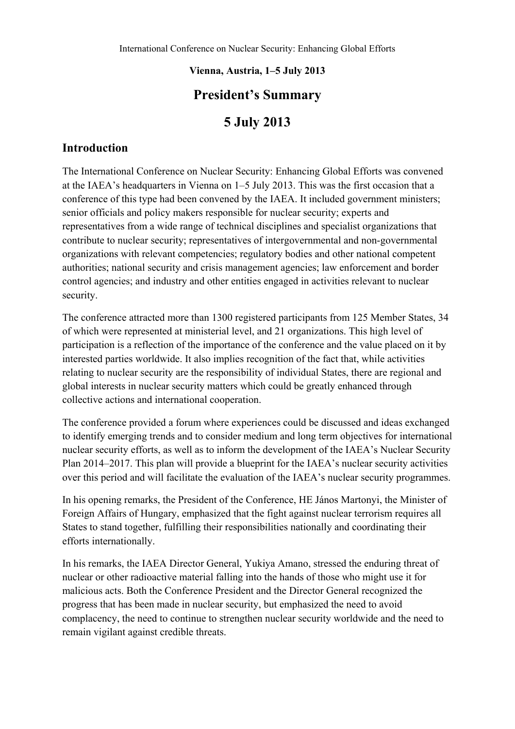#### **Vienna, Austria, 1–5 July 2013**

## **President's Summary**

# **5 July 2013**

### **Introduction**

The International Conference on Nuclear Security: Enhancing Global Efforts was convened at the IAEA's headquarters in Vienna on 1–5 July 2013. This was the first occasion that a conference of this type had been convened by the IAEA. It included government ministers; senior officials and policy makers responsible for nuclear security; experts and representatives from a wide range of technical disciplines and specialist organizations that contribute to nuclear security; representatives of intergovernmental and non-governmental organizations with relevant competencies; regulatory bodies and other national competent authorities; national security and crisis management agencies; law enforcement and border control agencies; and industry and other entities engaged in activities relevant to nuclear security.

The conference attracted more than 1300 registered participants from 125 Member States, 34 of which were represented at ministerial level, and 21 organizations. This high level of participation is a reflection of the importance of the conference and the value placed on it by interested parties worldwide. It also implies recognition of the fact that, while activities relating to nuclear security are the responsibility of individual States, there are regional and global interests in nuclear security matters which could be greatly enhanced through collective actions and international cooperation.

The conference provided a forum where experiences could be discussed and ideas exchanged to identify emerging trends and to consider medium and long term objectives for international nuclear security efforts, as well as to inform the development of the IAEA's Nuclear Security Plan 2014–2017. This plan will provide a blueprint for the IAEA's nuclear security activities over this period and will facilitate the evaluation of the IAEA's nuclear security programmes.

In his opening remarks, the President of the Conference, HE János Martonyi, the Minister of Foreign Affairs of Hungary, emphasized that the fight against nuclear terrorism requires all States to stand together, fulfilling their responsibilities nationally and coordinating their efforts internationally.

In his remarks, the IAEA Director General, Yukiya Amano, stressed the enduring threat of nuclear or other radioactive material falling into the hands of those who might use it for malicious acts. Both the Conference President and the Director General recognized the progress that has been made in nuclear security, but emphasized the need to avoid complacency, the need to continue to strengthen nuclear security worldwide and the need to remain vigilant against credible threats.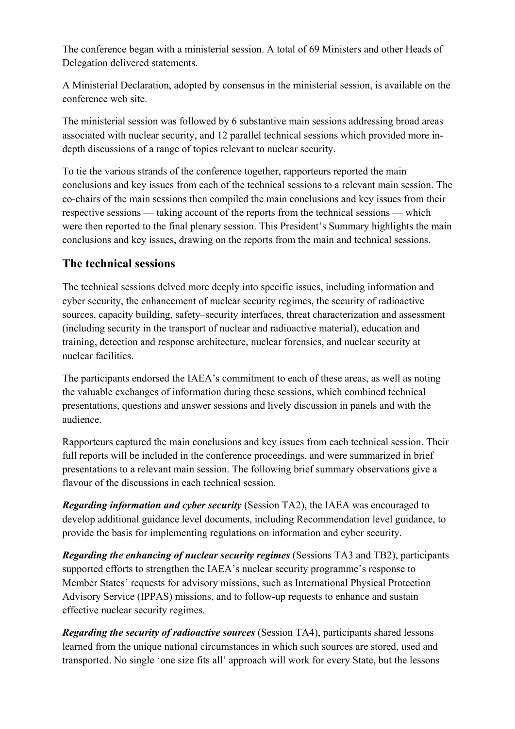The conference began with a ministerial session. A total of 69 Ministers and other Heads of Delegation delivered statements.

A Ministerial Declaration, adopted by consensus in the ministerial session, is available on the conference web site.

The ministerial session was followed by 6 substantive main sessions addressing broad areas associated with nuclear security, and 12 parallel technical sessions which provided more indepth discussions of a range of topics relevant to nuclear security.

To tie the various strands of the conference together, rapporteurs reported the main conclusions and key issues from each of the technical sessions to a relevant main session. The co-chairs of the main sessions then compiled the main conclusions and key issues from their respective sessions — taking account of the reports from the technical sessions — which were then reported to the final plenary session. This President's Summary highlights the main conclusions and key issues, drawing on the reports from the main and technical sessions.

## **The technical sessions**

The technical sessions delved more deeply into specific issues, including information and cyber security, the enhancement of nuclear security regimes, the security of radioactive sources, capacity building, safety–security interfaces, threat characterization and assessment (including security in the transport of nuclear and radioactive material), education and training, detection and response architecture, nuclear forensics, and nuclear security at nuclear facilities.

The participants endorsed the IAEA's commitment to each of these areas, as well as noting the valuable exchanges of information during these sessions, which combined technical presentations, questions and answer sessions and lively discussion in panels and with the audience.

Rapporteurs captured the main conclusions and key issues from each technical session. Their full reports will be included in the conference proceedings, and were summarized in brief presentations to a relevant main session. The following brief summary observations give a flavour of the discussions in each technical session.

*Regarding information and cyber security* (Session TA2), the IAEA was encouraged to develop additional guidance level documents, including Recommendation level guidance, to provide the basis for implementing regulations on information and cyber security.

*Regarding the enhancing of nuclear security regimes (Sessions TA3 and TB2), participants* supported efforts to strengthen the IAEA's nuclear security programme's response to Member States' requests for advisory missions, such as International Physical Protection Advisory Service (IPPAS) missions, and to follow-up requests to enhance and sustain effective nuclear security regimes.

*Regarding the security of radioactive sources (Session TA4)*, participants shared lessons learned from the unique national circumstances in which such sources are stored, used and transported. No single 'one size fits all' approach will work for every State, but the lessons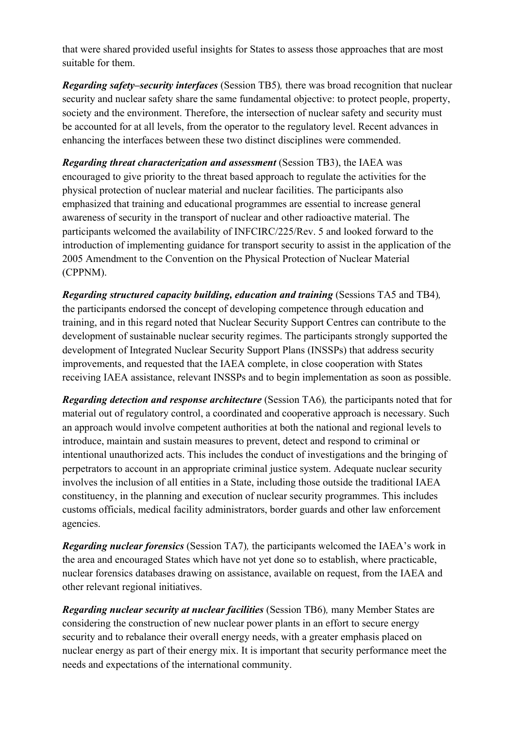that were shared provided useful insights for States to assess those approaches that are most suitable for them.

*Regarding safety–security interfaces* (Session TB5)*,* there was broad recognition that nuclear security and nuclear safety share the same fundamental objective: to protect people, property, society and the environment. Therefore, the intersection of nuclear safety and security must be accounted for at all levels, from the operator to the regulatory level. Recent advances in enhancing the interfaces between these two distinct disciplines were commended.

*Regarding threat characterization and assessment* (Session TB3), the IAEA was encouraged to give priority to the threat based approach to regulate the activities for the physical protection of nuclear material and nuclear facilities. The participants also emphasized that training and educational programmes are essential to increase general awareness of security in the transport of nuclear and other radioactive material. The participants welcomed the availability of INFCIRC/225/Rev. 5 and looked forward to the introduction of implementing guidance for transport security to assist in the application of the 2005 Amendment to the Convention on the Physical Protection of Nuclear Material (CPPNM).

*Regarding structured capacity building, education and training (Sessions TA5 and TB4),* the participants endorsed the concept of developing competence through education and training, and in this regard noted that Nuclear Security Support Centres can contribute to the development of sustainable nuclear security regimes. The participants strongly supported the development of Integrated Nuclear Security Support Plans (INSSPs) that address security improvements, and requested that the IAEA complete, in close cooperation with States receiving IAEA assistance, relevant INSSPs and to begin implementation as soon as possible.

*Regarding detection and response architecture* (Session TA6), the participants noted that for material out of regulatory control, a coordinated and cooperative approach is necessary. Such an approach would involve competent authorities at both the national and regional levels to introduce, maintain and sustain measures to prevent, detect and respond to criminal or intentional unauthorized acts. This includes the conduct of investigations and the bringing of perpetrators to account in an appropriate criminal justice system. Adequate nuclear security involves the inclusion of all entities in a State, including those outside the traditional IAEA constituency, in the planning and execution of nuclear security programmes. This includes customs officials, medical facility administrators, border guards and other law enforcement agencies.

*Regarding nuclear forensics* (Session TA7)*,* the participants welcomed the IAEA's work in the area and encouraged States which have not yet done so to establish, where practicable, nuclear forensics databases drawing on assistance, available on request, from the IAEA and other relevant regional initiatives.

*Regarding nuclear security at nuclear facilities* (Session TB6)*,* many Member States are considering the construction of new nuclear power plants in an effort to secure energy security and to rebalance their overall energy needs, with a greater emphasis placed on nuclear energy as part of their energy mix. It is important that security performance meet the needs and expectations of the international community.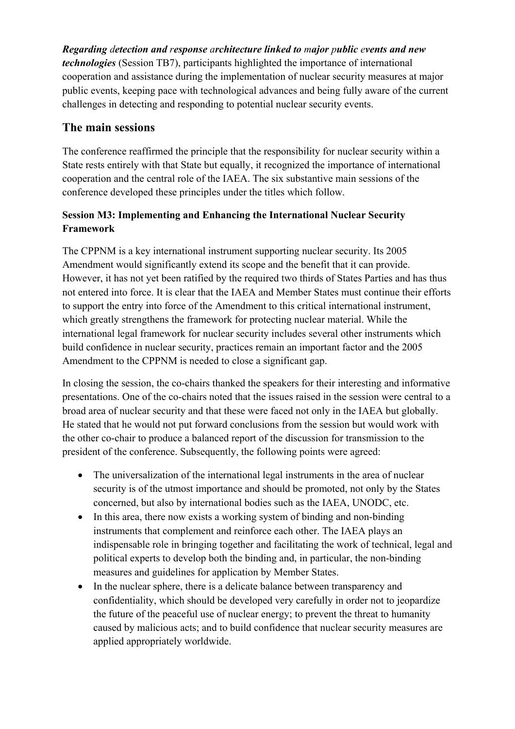*Regarding detection and response architecture linked to major public events and new technologies* (Session TB7), participants highlighted the importance of international cooperation and assistance during the implementation of nuclear security measures at major public events, keeping pace with technological advances and being fully aware of the current challenges in detecting and responding to potential nuclear security events.

## **The main sessions**

The conference reaffirmed the principle that the responsibility for nuclear security within a State rests entirely with that State but equally, it recognized the importance of international cooperation and the central role of the IAEA. The six substantive main sessions of the conference developed these principles under the titles which follow.

### **Session M3: Implementing and Enhancing the International Nuclear Security Framework**

The CPPNM is a key international instrument supporting nuclear security. Its 2005 Amendment would significantly extend its scope and the benefit that it can provide. However, it has not yet been ratified by the required two thirds of States Parties and has thus not entered into force. It is clear that the IAEA and Member States must continue their efforts to support the entry into force of the Amendment to this critical international instrument, which greatly strengthens the framework for protecting nuclear material. While the international legal framework for nuclear security includes several other instruments which build confidence in nuclear security, practices remain an important factor and the 2005 Amendment to the CPPNM is needed to close a significant gap.

In closing the session, the co-chairs thanked the speakers for their interesting and informative presentations. One of the co-chairs noted that the issues raised in the session were central to a broad area of nuclear security and that these were faced not only in the IAEA but globally. He stated that he would not put forward conclusions from the session but would work with the other co-chair to produce a balanced report of the discussion for transmission to the president of the conference. Subsequently, the following points were agreed:

- The universalization of the international legal instruments in the area of nuclear security is of the utmost importance and should be promoted, not only by the States concerned, but also by international bodies such as the IAEA, UNODC, etc.
- In this area, there now exists a working system of binding and non-binding instruments that complement and reinforce each other. The IAEA plays an indispensable role in bringing together and facilitating the work of technical, legal and political experts to develop both the binding and, in particular, the non-binding measures and guidelines for application by Member States.
- In the nuclear sphere, there is a delicate balance between transparency and confidentiality, which should be developed very carefully in order not to jeopardize the future of the peaceful use of nuclear energy; to prevent the threat to humanity caused by malicious acts; and to build confidence that nuclear security measures are applied appropriately worldwide.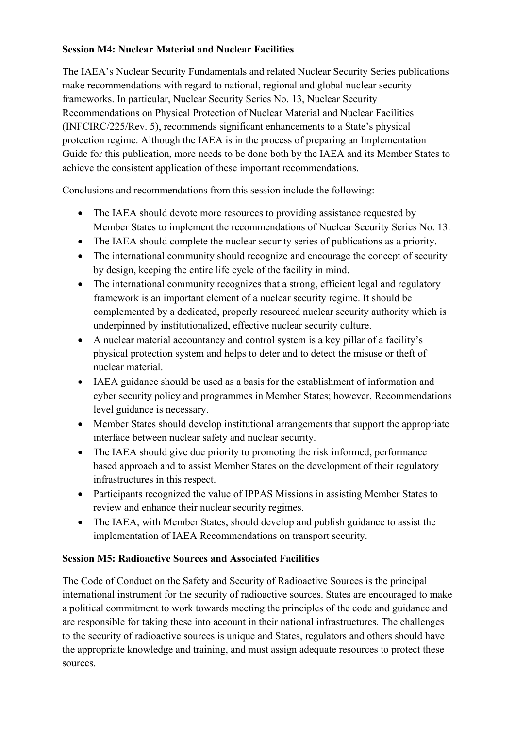### **Session M4: Nuclear Material and Nuclear Facilities**

The IAEA's Nuclear Security Fundamentals and related Nuclear Security Series publications make recommendations with regard to national, regional and global nuclear security frameworks. In particular, Nuclear Security Series No. 13, Nuclear Security Recommendations on Physical Protection of Nuclear Material and Nuclear Facilities (INFCIRC/225/Rev. 5), recommends significant enhancements to a State's physical protection regime. Although the IAEA is in the process of preparing an Implementation Guide for this publication, more needs to be done both by the IAEA and its Member States to achieve the consistent application of these important recommendations.

Conclusions and recommendations from this session include the following:

- The IAEA should devote more resources to providing assistance requested by Member States to implement the recommendations of Nuclear Security Series No. 13.
- The IAEA should complete the nuclear security series of publications as a priority.
- The international community should recognize and encourage the concept of security by design, keeping the entire life cycle of the facility in mind.
- The international community recognizes that a strong, efficient legal and regulatory framework is an important element of a nuclear security regime. It should be complemented by a dedicated, properly resourced nuclear security authority which is underpinned by institutionalized, effective nuclear security culture.
- A nuclear material accountancy and control system is a key pillar of a facility's physical protection system and helps to deter and to detect the misuse or theft of nuclear material.
- IAEA guidance should be used as a basis for the establishment of information and cyber security policy and programmes in Member States; however, Recommendations level guidance is necessary.
- Member States should develop institutional arrangements that support the appropriate interface between nuclear safety and nuclear security.
- The IAEA should give due priority to promoting the risk informed, performance based approach and to assist Member States on the development of their regulatory infrastructures in this respect.
- Participants recognized the value of IPPAS Missions in assisting Member States to review and enhance their nuclear security regimes.
- The IAEA, with Member States, should develop and publish guidance to assist the implementation of IAEA Recommendations on transport security.

### **Session M5: Radioactive Sources and Associated Facilities**

The Code of Conduct on the Safety and Security of Radioactive Sources is the principal international instrument for the security of radioactive sources. States are encouraged to make a political commitment to work towards meeting the principles of the code and guidance and are responsible for taking these into account in their national infrastructures. The challenges to the security of radioactive sources is unique and States, regulators and others should have the appropriate knowledge and training, and must assign adequate resources to protect these sources.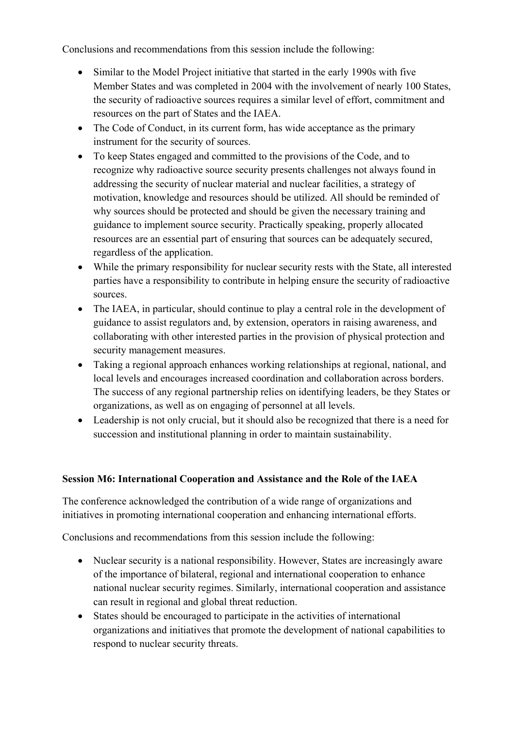Conclusions and recommendations from this session include the following:

- Similar to the Model Project initiative that started in the early 1990s with five Member States and was completed in 2004 with the involvement of nearly 100 States, the security of radioactive sources requires a similar level of effort, commitment and resources on the part of States and the IAEA.
- The Code of Conduct, in its current form, has wide acceptance as the primary instrument for the security of sources.
- To keep States engaged and committed to the provisions of the Code, and to recognize why radioactive source security presents challenges not always found in addressing the security of nuclear material and nuclear facilities, a strategy of motivation, knowledge and resources should be utilized. All should be reminded of why sources should be protected and should be given the necessary training and guidance to implement source security. Practically speaking, properly allocated resources are an essential part of ensuring that sources can be adequately secured, regardless of the application.
- While the primary responsibility for nuclear security rests with the State, all interested parties have a responsibility to contribute in helping ensure the security of radioactive sources.
- The IAEA, in particular, should continue to play a central role in the development of guidance to assist regulators and, by extension, operators in raising awareness, and collaborating with other interested parties in the provision of physical protection and security management measures.
- Taking a regional approach enhances working relationships at regional, national, and local levels and encourages increased coordination and collaboration across borders. The success of any regional partnership relies on identifying leaders, be they States or organizations, as well as on engaging of personnel at all levels.
- Leadership is not only crucial, but it should also be recognized that there is a need for succession and institutional planning in order to maintain sustainability.

### **Session M6: International Cooperation and Assistance and the Role of the IAEA**

The conference acknowledged the contribution of a wide range of organizations and initiatives in promoting international cooperation and enhancing international efforts.

Conclusions and recommendations from this session include the following:

- Nuclear security is a national responsibility. However, States are increasingly aware of the importance of bilateral, regional and international cooperation to enhance national nuclear security regimes. Similarly, international cooperation and assistance can result in regional and global threat reduction.
- States should be encouraged to participate in the activities of international organizations and initiatives that promote the development of national capabilities to respond to nuclear security threats.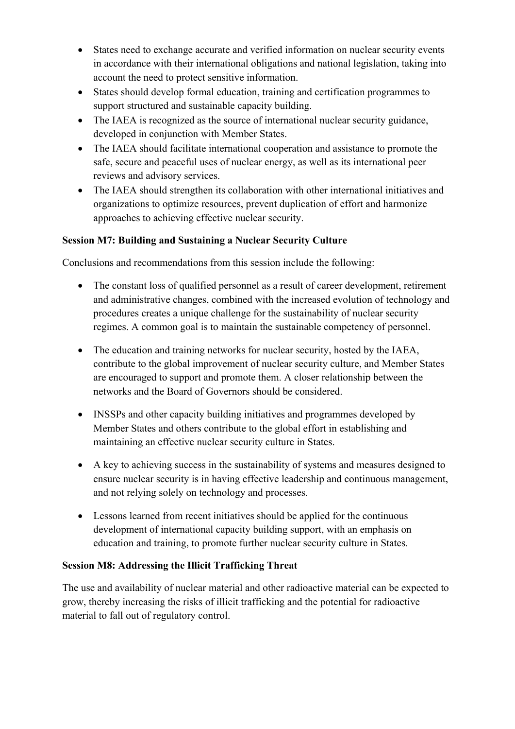- States need to exchange accurate and verified information on nuclear security events in accordance with their international obligations and national legislation, taking into account the need to protect sensitive information.
- States should develop formal education, training and certification programmes to support structured and sustainable capacity building.
- The IAEA is recognized as the source of international nuclear security guidance, developed in conjunction with Member States.
- The IAEA should facilitate international cooperation and assistance to promote the safe, secure and peaceful uses of nuclear energy, as well as its international peer reviews and advisory services.
- The IAEA should strengthen its collaboration with other international initiatives and organizations to optimize resources, prevent duplication of effort and harmonize approaches to achieving effective nuclear security.

### **Session M7: Building and Sustaining a Nuclear Security Culture**

Conclusions and recommendations from this session include the following:

- The constant loss of qualified personnel as a result of career development, retirement and administrative changes, combined with the increased evolution of technology and procedures creates a unique challenge for the sustainability of nuclear security regimes. A common goal is to maintain the sustainable competency of personnel.
- The education and training networks for nuclear security, hosted by the IAEA, contribute to the global improvement of nuclear security culture, and Member States are encouraged to support and promote them. A closer relationship between the networks and the Board of Governors should be considered.
- INSSPs and other capacity building initiatives and programmes developed by Member States and others contribute to the global effort in establishing and maintaining an effective nuclear security culture in States.
- A key to achieving success in the sustainability of systems and measures designed to ensure nuclear security is in having effective leadership and continuous management, and not relying solely on technology and processes.
- Lessons learned from recent initiatives should be applied for the continuous development of international capacity building support, with an emphasis on education and training, to promote further nuclear security culture in States.

### **Session M8: Addressing the Illicit Trafficking Threat**

The use and availability of nuclear material and other radioactive material can be expected to grow, thereby increasing the risks of illicit trafficking and the potential for radioactive material to fall out of regulatory control.